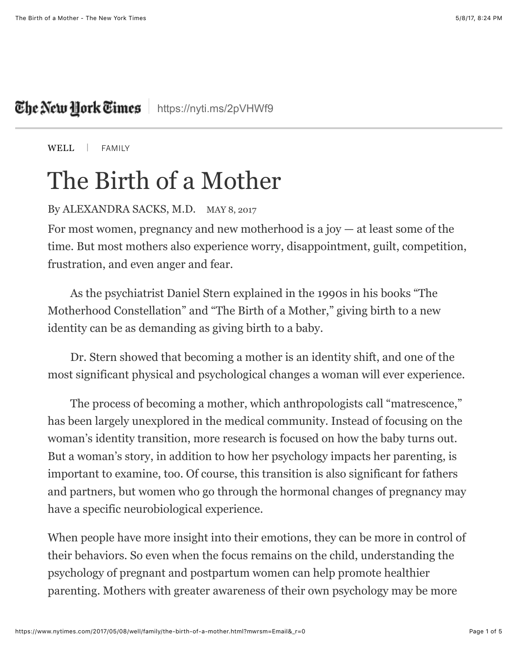## The New Hork Times | <https://nyti.ms/2pVHWf9>

[WELL](https://www.nytimes.com/section/well) | [FAMILY](https://www.nytimes.com/section/well/family)

## The Birth of a Mother

## By ALEXANDRA SACKS, M.D. MAY 8, 2017

For most women, pregnancy and new motherhood is a joy  $-$  at least some of the time. But most mothers also experience worry, disappointment, guilt, competition, frustration, and even anger and fear.

As the psychiatrist Daniel Stern explained in the 1990s in his books "The Motherhood Constellation" and "The Birth of a Mother," giving birth to a new identity can be as demanding as giving birth to a baby.

Dr. Stern showed that becoming a mother is an identity shift, and one of the most significant physical and psychological changes a woman will ever experience.

The process of becoming a mother, which anthropologists call "matrescence," has been largely unexplored in the medical community. Instead of focusing on the woman's identity transition, more research is focused on how the baby turns out. But a woman's story, in addition to how her psychology impacts her parenting, is important to examine, too. Of course, this transition is also significant for fathers and partners, but women who go through the hormonal changes of pregnancy may have a specific neurobiological experience.

When people have more insight into their emotions, they can be more in control of their behaviors. So even when the focus remains on the child, understanding the psychology of pregnant and postpartum women can help promote healthier parenting. Mothers with greater awareness of their own psychology may be more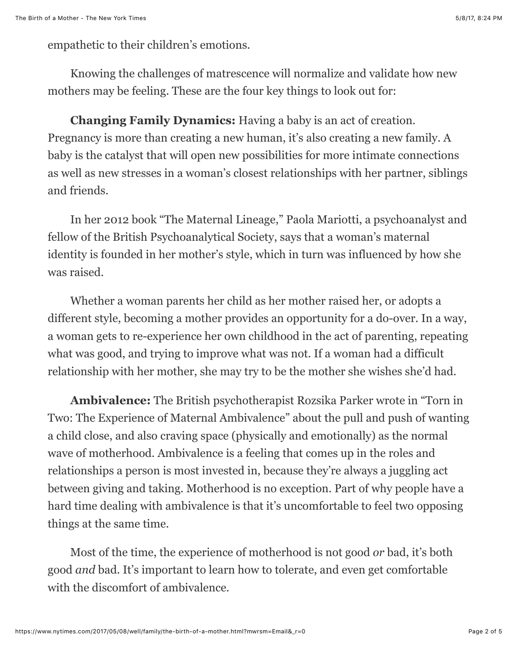empathetic to their children's emotions.

Knowing the challenges of matrescence will normalize and validate how new mothers may be feeling. These are the four key things to look out for:

**Changing Family Dynamics:** Having a baby is an act of creation. Pregnancy is more than creating a new human, it's also creating a new family. A baby is the catalyst that will open new possibilities for more intimate connections as well as new stresses in a woman's closest relationships with her partner, siblings and friends.

In her 2012 book "The Maternal Lineage," Paola Mariotti, a psychoanalyst and fellow of the British Psychoanalytical Society, says that a woman's maternal identity is founded in her mother's style, which in turn was influenced by how she was raised.

Whether a woman parents her child as her mother raised her, or adopts a different style, becoming a mother provides an opportunity for a do-over. In a way, a woman gets to re-experience her own childhood in the act of parenting, repeating what was good, and trying to improve what was not. If a woman had a difficult relationship with her mother, she may try to be the mother she wishes she'd had.

**Ambivalence:** The British psychotherapist Rozsika Parker wrote in "Torn in Two: The Experience of Maternal Ambivalence" about the pull and push of wanting a child close, and also craving space (physically and emotionally) as the normal wave of motherhood. Ambivalence is a feeling that comes up in the roles and relationships a person is most invested in, because they're always a juggling act between giving and taking. Motherhood is no exception. Part of why people have a hard time dealing with ambivalence is that it's uncomfortable to feel two opposing things at the same time.

Most of the time, the experience of motherhood is not good *or* bad, it's both good *and* bad. It's important to learn how to tolerate, and even get comfortable with the discomfort of ambivalence.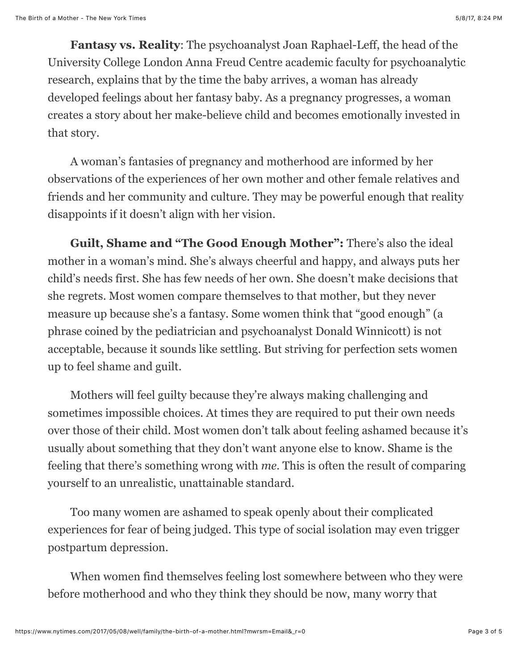**Fantasy vs. Reality**: The psychoanalyst Joan Raphael-Leff, the head of the University College London Anna Freud Centre academic faculty for psychoanalytic research, explains that by the time the baby arrives, a woman has already developed feelings about her fantasy baby. As a pregnancy progresses, a woman creates a story about her make-believe child and becomes emotionally invested in that story.

A woman's fantasies of pregnancy and motherhood are informed by her observations of the experiences of her own mother and other female relatives and friends and her community and culture. They may be powerful enough that reality disappoints if it doesn't align with her vision.

Guilt, Shame and "The Good Enough Mother": There's also the ideal mother in a woman's mind. She's always cheerful and happy, and always puts her child's needs first. She has few needs of her own. She doesn't make decisions that she regrets. Most women compare themselves to that mother, but they never measure up because she's a fantasy. Some women think that "good enough" (a phrase coined by the pediatrician and psychoanalyst Donald Winnicott) is not acceptable, because it sounds like settling. But striving for perfection sets women up to feel shame and guilt.

Mothers will feel guilty because they're always making challenging and sometimes impossible choices. At times they are required to put their own needs over those of their child. Most women don't talk about feeling ashamed because it's usually about something that they don't want anyone else to know. Shame is the feeling that there's something wrong with *me.* This is often the result of comparing yourself to an unrealistic, unattainable standard.

Too many women are ashamed to speak openly about their complicated experiences for fear of being judged. This type of social isolation may even trigger postpartum depression.

When women find themselves feeling lost somewhere between who they were before motherhood and who they think they should be now, many worry that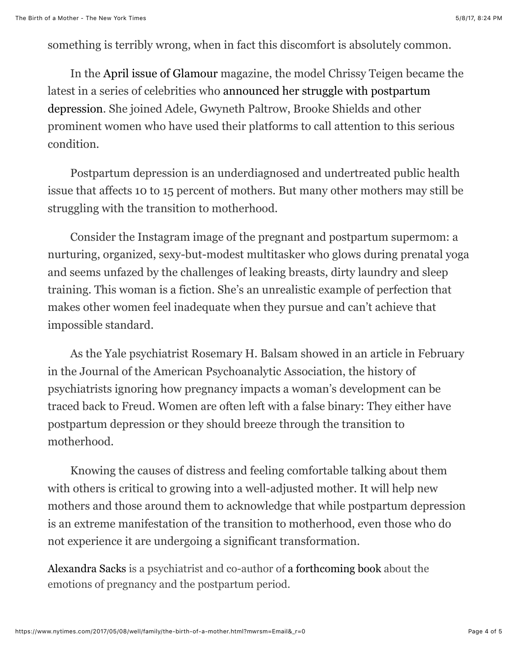something is terribly wrong, when in fact this discomfort is absolutely common.

In the [April issue of Glamour](http://www.glamour.com/story/chrissy-teigen-postpartum-depression) magazine, the model Chrissy Teigen became the [latest in a series of celebrities who announced her struggle with postpartum](http://www.glamour.com/story/chrissy-teigen-postpartum-depression) depression. She joined Adele, Gwyneth Paltrow, Brooke Shields and other prominent women who have used their platforms to call attention to this serious condition.

Postpartum depression is an underdiagnosed and undertreated public health issue that affects 10 to 15 percent of mothers. But many other mothers may still be struggling with the transition to motherhood.

Consider the Instagram image of the pregnant and postpartum supermom: a nurturing, organized, sexy-but-modest multitasker who glows during prenatal yoga and seems unfazed by the challenges of leaking breasts, dirty laundry and sleep training. This woman is a fiction. She's an unrealistic example of perfection that makes other women feel inadequate when they pursue and can't achieve that impossible standard.

As the Yale psychiatrist Rosemary H. Balsam showed in an article in February in the Journal of the American Psychoanalytic Association, the history of psychiatrists ignoring how pregnancy impacts a woman's development can be traced back to Freud. Women are often left with a false binary: They either have postpartum depression or they should breeze through the transition to motherhood.

Knowing the causes of distress and feeling comfortable talking about them with others is critical to growing into a well-adjusted mother. It will help new mothers and those around them to acknowledge that while postpartum depression is an extreme manifestation of the transition to motherhood, even those who do not experience it are undergoing a significant transformation.

[Alexandra Sacks](http://alexandrasacksmd.com/) is a psychiatrist and co-author of [a forthcoming book](http://www.theemotionalguide.com/) about the emotions of pregnancy and the postpartum period.